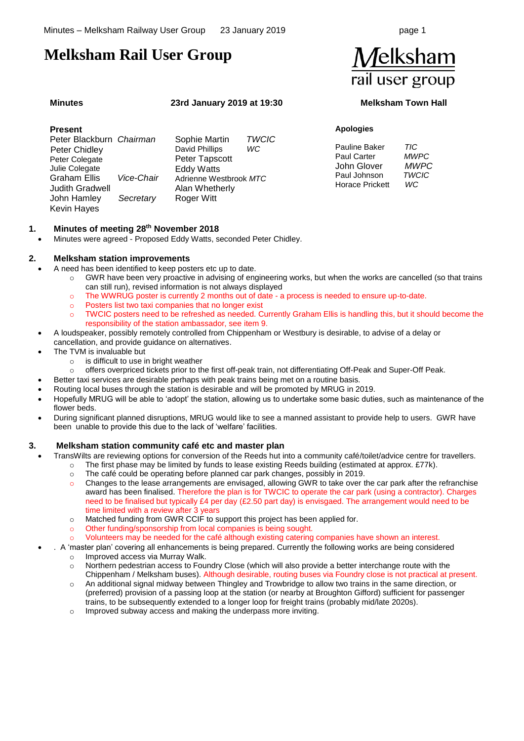# **Melksham Rail User Group**

Kevin Hayes

#### **Minutes 23rd January 2019 at 19:30 Melksham Town Hall**

#### **Present**  Peter Blackburn *Chairman*  Peter Chidley Peter Colegate Julie Colegate Graham Ellis *Vice-Chair* Judith Gradwell Sophie Martin *TWCIC* David Phillips Peter Tapscott Eddy Watts Adrienne Westbrook *MTC* Alan Whetherly

Roger Witt

### **1. Minutes of meeting 28th November 2018**

• Minutes were agreed - Proposed Eddy Watts, seconded Peter Chidley.

#### **2. Melksham station improvements**

John Hamley *Secretary*

- A need has been identified to keep posters etc up to date.
	- o GWR have been very proactive in advising of engineering works, but when the works are cancelled (so that trains can still run), revised information is not always displayed
	- o The WWRUG poster is currently 2 months out of date a process is needed to ensure up-to-date.
	- Posters list two taxi companies that no longer exist
	- o TWCIC posters need to be refreshed as needed. Currently Graham Ellis is handling this, but it should become the responsibility of the station ambassador, see ite[m 9.](#page-1-0)
	- A loudspeaker, possibly remotely controlled from Chippenham or Westbury is desirable, to advise of a delay or cancellation, and provide guidance on alternatives.
	- The TVM is invaluable but
		- o is difficult to use in bright weather
		- o offers overpriced tickets prior to the first off-peak train, not differentiating Off-Peak and Super-Off Peak.
	- Better taxi services are desirable perhaps with peak trains being met on a routine basis.
	- Routing local buses through the station is desirable and will be promoted by MRUG in 2019.
	- Hopefully MRUG will be able to 'adopt' the station, allowing us to undertake some basic duties, such as maintenance of the flower beds.
	- During significant planned disruptions, MRUG would like to see a manned assistant to provide help to users. GWR have been unable to provide this due to the lack of 'welfare' facilities.

#### **3. Melksham station community café etc and master plan**

- TransWilts are reviewing options for conversion of the Reeds hut into a community café/toilet/advice centre for travellers.
	- $\circ$  The first phase may be limited by funds to lease existing Reeds building (estimated at approx. £77k).
	- $\circ$  The café could be operating before planned car park changes, possibly in 2019.
	- o Changes to the lease arrangements are envisaged, allowing GWR to take over the car park after the refranchise award has been finalised. Therefore the plan is for TWCIC to operate the car park (using a contractor). Charges need to be finalised but typically £4 per day (£2.50 part day) is envisgaed. The arrangement would need to be time limited with a review after 3 years
	- $\circ$  Matched funding from GWR CCIF to support this project has been applied for.
	- o Other funding/sponsorship from local companies is being sought.
	- Volunteers may be needed for the café although existing catering companies have shown an interest.
	- . A 'master plan' covering all enhancements is being prepared. Currently the following works are being considered Improved access via Murray Walk.
		- o Northern pedestrian access to Foundry Close (which will also provide a better interchange route with the Chippenham / Melksham buses). Although desirable, routing buses via Foundry close is not practical at present.
		- o An additional signal midway between Thingley and Trowbridge to allow two trains in the same direction, or (preferred) provision of a passing loop at the station (or nearby at Broughton Gifford) sufficient for passenger trains, to be subsequently extended to a longer loop for freight trains (probably mid/late 2020s).
		- o Improved subway access and making the underpass more inviting.



#### **Apologies**

| Pauline Baker          | TIC         |
|------------------------|-------------|
| <b>Paul Carter</b>     | <i>MWPC</i> |
| John Glover            | MWPC        |
| Paul Johnson           | TWCIC       |
| <b>Horace Prickett</b> | WC          |
|                        |             |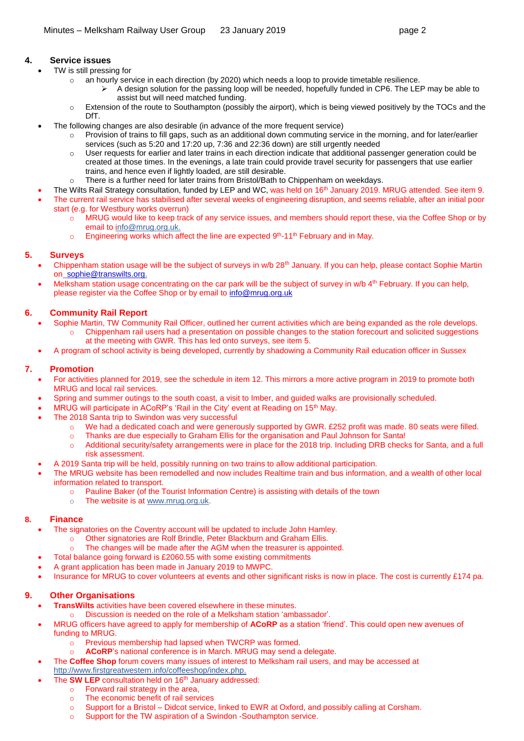### **4. Service issues**

- TW is still pressing for
	- o an hourly service in each direction (by 2020) which needs a loop to provide timetable resilience.
		- ➢ A design solution for the passing loop will be needed, hopefully funded in CP6. The LEP may be able to assist but will need matched funding.
	- $\circ$  Extension of the route to Southampton (possibly the airport), which is being viewed positively by the TOCs and the DfT.
- The following changes are also desirable (in advance of the more frequent service)
	- Provision of trains to fill gaps, such as an additional down commuting service in the morning, and for later/earlier services (such as 5:20 and 17:20 up, 7:36 and 22:36 down) are still urgently needed
	- o User requests for earlier and later trains in each direction indicate that additional passenger generation could be created at those times. In the evenings, a late train could provide travel security for passengers that use earlier trains, and hence even if lightly loaded, are still desirable.
	- There is a further need for later trains from Bristol/Bath to Chippenham on weekdays.
	- The Wilts Rail Strategy consultation, funded by LEP and WC, was held on 16<sup>th</sup> January 2019. MRUG attended. See item [9.](#page-1-0)
- The current rail service has stabilised after several weeks of engineering disruption, and seems reliable, after an initial poor start (e.g. for Westbury works overrun)
	- o MRUG would like to keep track of any service issues, and members should report these, via the Coffee Shop or by email to [info@mrug.org.uk.](mailto:info@mrug.org.uk)
	- $\circ$  Engineering works which affect the line are expected  $9<sup>th</sup>$ -11<sup>th</sup> February and in May.

### <span id="page-1-1"></span>**5. Surveys**

- Chippenham station usage will be the subject of surveys in w/b 28<sup>th</sup> January. If you can help, please contact Sophie Martin on [sophie@transwilts.org.](mailto:sophie@transwilts.org)
- Melksham station usage concentrating on the car park will be the subject of survey in w/b 4<sup>th</sup> February. If you can help, please register via the Coffee Shop or by email t[o info@mrug.org.uk](mailto:info@mrug.org.uk)

#### **6. Community Rail Report**

- Sophie Martin, TW Community Rail Officer, outlined her current activities which are being expanded as the role develops. o Chippenham rail users had a presentation on possible changes to the station forecourt and solicited suggestions at the meeting with GWR. This has led onto surveys, see ite[m 5.](#page-1-1)
- A program of school activity is being developed, currently by shadowing a Community Rail education officer in Sussex

#### **7. Promotion**

- For activities planned for 2019, see the schedule in item [12.](#page-2-0) This mirrors a more active program in 2019 to promote both MRUG and local rail services.
- Spring and summer outings to the south coast, a visit to Imber, and guided walks are provisionally scheduled.
- MRUG will participate in ACoRP's 'Rail in the City' event at Reading on 15<sup>th</sup> May.
- The 2018 Santa trip to Swindon was very successful
	- o We had a dedicated coach and were generously supported by GWR. £252 profit was made. 80 seats were filled.
	- o Thanks are due especially to Graham Ellis for the organisation and Paul Johnson for Santa!
	- o Additional security/safety arrangements were in place for the 2018 trip. Including DRB checks for Santa, and a full risk assessment.
- A 2019 Santa trip will be held, possibly running on two trains to allow additional participation.
- The MRUG website has been remodelled and now includes Realtime train and bus information, and a wealth of other local information related to transport.
	- o Pauline Baker (of the Tourist Information Centre) is assisting with details of the town
		- o The website is at [www.mrug.org.uk.](http://www.mrug.org.uk/)

#### **8. Finance**

- The signatories on the Coventry account will be updated to include John Hamley.
	- o Other signatories are Rolf Brindle, Peter Blackburn and Graham Ellis.
	- The changes will be made after the AGM when the treasurer is appointed.
- Total balance going forward is £2060.55 with some existing commitments
- A grant application has been made in January 2019 to MWPC.
- Insurance for MRUG to cover volunteers at events and other significant risks is now in place. The cost is currently £174 pa.

## <span id="page-1-0"></span>**9. Other Organisations**

- **TransWilts** activities have been covered elsewhere in these minutes.
	- o Discussion is needed on the role of a Melksham station 'ambassador'.
- MRUG officers have agreed to apply for membership of **ACoRP** as a station 'friend'. This could open new avenues of funding to MRUG.
	- o Previous membership had lapsed when TWCRP was formed.
	- ACoRP's national conference is in March. MRUG may send a delegate.
	- The **Coffee Shop** forum covers many issues of interest to Melksham rail users, and may be accessed at
- [http://www.firstgreatwestern.info/coffeeshop/index.php.](http://www.firstgreatwestern.info/coffeeshop/index.php)
	- The **SW LEP** consultation held on 16<sup>th</sup> January addressed:
		- o Forward rail strategy in the area,
		- o The economic benefit of rail services
		- o Support for a Bristol Didcot service, linked to EWR at Oxford, and possibly calling at Corsham.
		- o Support for the TW aspiration of a Swindon -Southampton service.